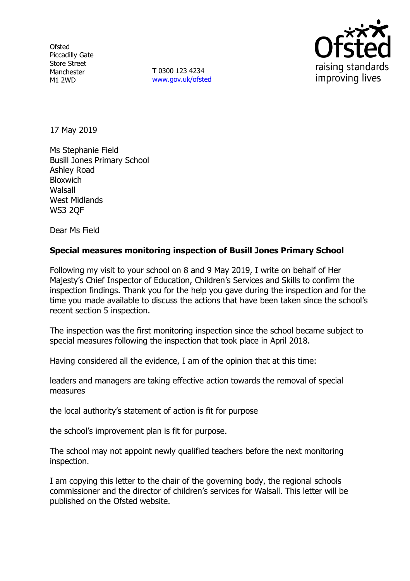**Ofsted** Piccadilly Gate Store Street Manchester M1 2WD

**T** 0300 123 4234 www.gov.uk/ofsted



17 May 2019

Ms Stephanie Field Busill Jones Primary School Ashley Road Bloxwich Walsall West Midlands WS3 2QF

Dear Ms Field

## **Special measures monitoring inspection of Busill Jones Primary School**

Following my visit to your school on 8 and 9 May 2019, I write on behalf of Her Majesty's Chief Inspector of Education, Children's Services and Skills to confirm the inspection findings. Thank you for the help you gave during the inspection and for the time you made available to discuss the actions that have been taken since the school's recent section 5 inspection.

The inspection was the first monitoring inspection since the school became subject to special measures following the inspection that took place in April 2018.

Having considered all the evidence, I am of the opinion that at this time:

leaders and managers are taking effective action towards the removal of special measures

the local authority's statement of action is fit for purpose

the school's improvement plan is fit for purpose.

The school may not appoint newly qualified teachers before the next monitoring inspection.

I am copying this letter to the chair of the governing body, the regional schools commissioner and the director of children's services for Walsall. This letter will be published on the Ofsted website.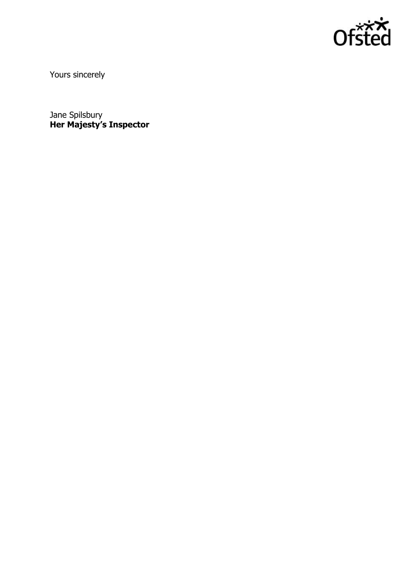

Yours sincerely

Jane Spilsbury **Her Majesty's Inspector**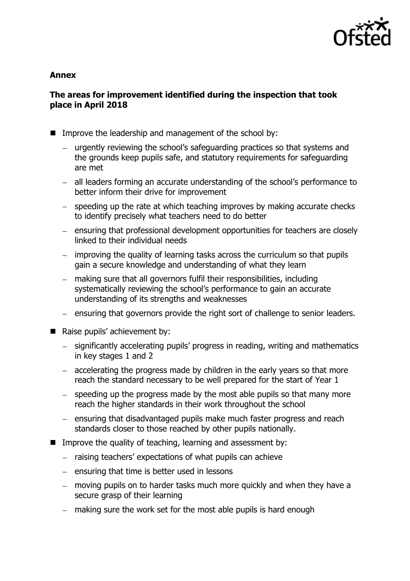

#### **Annex**

## **The areas for improvement identified during the inspection that took place in April 2018**

- Improve the leadership and management of the school by:
	- urgently reviewing the school's safeguarding practices so that systems and the grounds keep pupils safe, and statutory requirements for safeguarding are met
	- all leaders forming an accurate understanding of the school's performance to better inform their drive for improvement
	- $-$  speeding up the rate at which teaching improves by making accurate checks to identify precisely what teachers need to do better
	- ensuring that professional development opportunities for teachers are closely linked to their individual needs
	- improving the quality of learning tasks across the curriculum so that pupils gain a secure knowledge and understanding of what they learn
	- making sure that all governors fulfil their responsibilities, including  $\equiv$ systematically reviewing the school's performance to gain an accurate understanding of its strengths and weaknesses
	- ensuring that governors provide the right sort of challenge to senior leaders.
- Raise pupils' achievement by:
	- significantly accelerating pupils' progress in reading, writing and mathematics in key stages 1 and 2
	- accelerating the progress made by children in the early years so that more reach the standard necessary to be well prepared for the start of Year 1
	- speeding up the progress made by the most able pupils so that many more reach the higher standards in their work throughout the school
	- ensuring that disadvantaged pupils make much faster progress and reach standards closer to those reached by other pupils nationally.
- Improve the quality of teaching, learning and assessment by:
	- $-$  raising teachers' expectations of what pupils can achieve
	- $-$  ensuring that time is better used in lessons
	- moving pupils on to harder tasks much more quickly and when they have a secure grasp of their learning
	- making sure the work set for the most able pupils is hard enough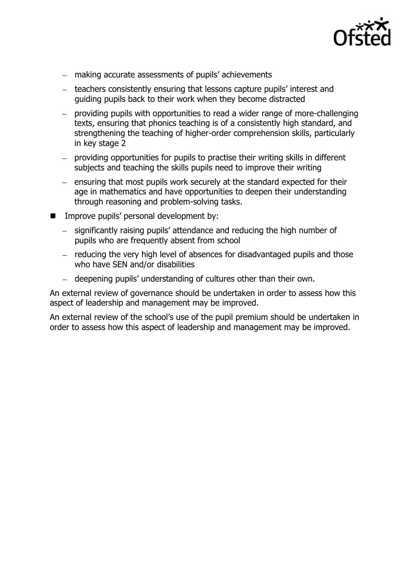

- making accurate assessments of pupils' achievements
- teachers consistently ensuring that lessons capture pupils' interest and guiding pupils back to their work when they become distracted
- providing pupils with opportunities to read a wider range of more-challenging  $\frac{1}{2}$ texts, ensuring that phonics teaching is of a consistently high standard, and strengthening the teaching of higher-order comprehension skills, particularly in key stage 2
- providing opportunities for pupils to practise their writing skills in different subjects and teaching the skills pupils need to improve their writing
- $-$  ensuring that most pupils work securely at the standard expected for their age in mathematics and have opportunities to deepen their understanding through reasoning and problem-solving tasks.
- **IMPROVE pupils' personal development by:** 
	- significantly raising pupils' attendance and reducing the high number of  $$ pupils who are frequently absent from school
	- reducing the very high level of absences for disadvantaged pupils and those who have SEN and/or disabilities
	- deepening pupils' understanding of cultures other than their own.

An external review of governance should be undertaken in order to assess how this aspect of leadership and management may be improved.

An external review of the school's use of the pupil premium should be undertaken in order to assess how this aspect of leadership and management may be improved.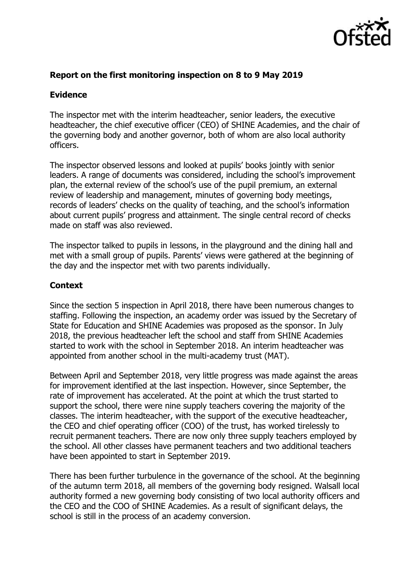

# **Report on the first monitoring inspection on 8 to 9 May 2019**

# **Evidence**

The inspector met with the interim headteacher, senior leaders, the executive headteacher, the chief executive officer (CEO) of SHINE Academies, and the chair of the governing body and another governor, both of whom are also local authority officers.

The inspector observed lessons and looked at pupils' books jointly with senior leaders. A range of documents was considered, including the school's improvement plan, the external review of the school's use of the pupil premium, an external review of leadership and management, minutes of governing body meetings, records of leaders' checks on the quality of teaching, and the school's information about current pupils' progress and attainment. The single central record of checks made on staff was also reviewed.

The inspector talked to pupils in lessons, in the playground and the dining hall and met with a small group of pupils. Parents' views were gathered at the beginning of the day and the inspector met with two parents individually.

# **Context**

Since the section 5 inspection in April 2018, there have been numerous changes to staffing. Following the inspection, an academy order was issued by the Secretary of State for Education and SHINE Academies was proposed as the sponsor. In July 2018, the previous headteacher left the school and staff from SHINE Academies started to work with the school in September 2018. An interim headteacher was appointed from another school in the multi-academy trust (MAT).

Between April and September 2018, very little progress was made against the areas for improvement identified at the last inspection. However, since September, the rate of improvement has accelerated. At the point at which the trust started to support the school, there were nine supply teachers covering the majority of the classes. The interim headteacher, with the support of the executive headteacher, the CEO and chief operating officer (COO) of the trust, has worked tirelessly to recruit permanent teachers. There are now only three supply teachers employed by the school. All other classes have permanent teachers and two additional teachers have been appointed to start in September 2019.

There has been further turbulence in the governance of the school. At the beginning of the autumn term 2018, all members of the governing body resigned. Walsall local authority formed a new governing body consisting of two local authority officers and the CEO and the COO of SHINE Academies. As a result of significant delays, the school is still in the process of an academy conversion.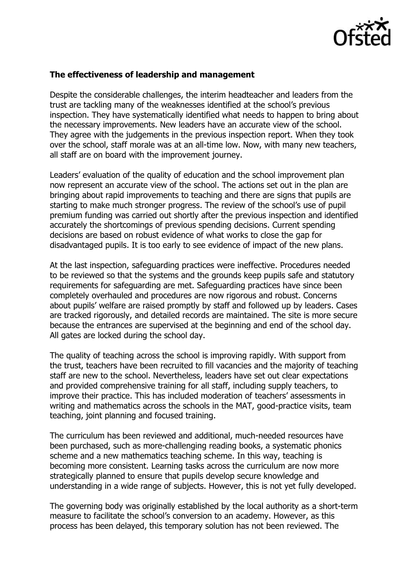

### **The effectiveness of leadership and management**

Despite the considerable challenges, the interim headteacher and leaders from the trust are tackling many of the weaknesses identified at the school's previous inspection. They have systematically identified what needs to happen to bring about the necessary improvements. New leaders have an accurate view of the school. They agree with the judgements in the previous inspection report. When they took over the school, staff morale was at an all-time low. Now, with many new teachers, all staff are on board with the improvement journey.

Leaders' evaluation of the quality of education and the school improvement plan now represent an accurate view of the school. The actions set out in the plan are bringing about rapid improvements to teaching and there are signs that pupils are starting to make much stronger progress. The review of the school's use of pupil premium funding was carried out shortly after the previous inspection and identified accurately the shortcomings of previous spending decisions. Current spending decisions are based on robust evidence of what works to close the gap for disadvantaged pupils. It is too early to see evidence of impact of the new plans.

At the last inspection, safeguarding practices were ineffective. Procedures needed to be reviewed so that the systems and the grounds keep pupils safe and statutory requirements for safeguarding are met. Safeguarding practices have since been completely overhauled and procedures are now rigorous and robust. Concerns about pupils' welfare are raised promptly by staff and followed up by leaders. Cases are tracked rigorously, and detailed records are maintained. The site is more secure because the entrances are supervised at the beginning and end of the school day. All gates are locked during the school day.

The quality of teaching across the school is improving rapidly. With support from the trust, teachers have been recruited to fill vacancies and the majority of teaching staff are new to the school. Nevertheless, leaders have set out clear expectations and provided comprehensive training for all staff, including supply teachers, to improve their practice. This has included moderation of teachers' assessments in writing and mathematics across the schools in the MAT, good-practice visits, team teaching, joint planning and focused training.

The curriculum has been reviewed and additional, much-needed resources have been purchased, such as more-challenging reading books, a systematic phonics scheme and a new mathematics teaching scheme. In this way, teaching is becoming more consistent. Learning tasks across the curriculum are now more strategically planned to ensure that pupils develop secure knowledge and understanding in a wide range of subjects. However, this is not yet fully developed.

The governing body was originally established by the local authority as a short-term measure to facilitate the school's conversion to an academy. However, as this process has been delayed, this temporary solution has not been reviewed. The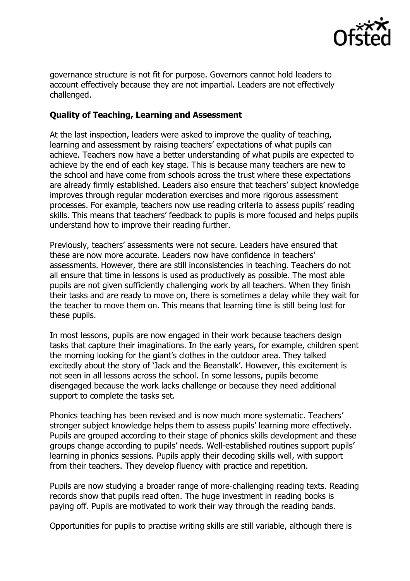

governance structure is not fit for purpose. Governors cannot hold leaders to account effectively because they are not impartial. Leaders are not effectively challenged.

# **Quality of Teaching, Learning and Assessment**

At the last inspection, leaders were asked to improve the quality of teaching, learning and assessment by raising teachers' expectations of what pupils can achieve. Teachers now have a better understanding of what pupils are expected to achieve by the end of each key stage. This is because many teachers are new to the school and have come from schools across the trust where these expectations are already firmly established. Leaders also ensure that teachers' subject knowledge improves through regular moderation exercises and more rigorous assessment processes. For example, teachers now use reading criteria to assess pupils' reading skills. This means that teachers' feedback to pupils is more focused and helps pupils understand how to improve their reading further.

Previously, teachers' assessments were not secure. Leaders have ensured that these are now more accurate. Leaders now have confidence in teachers' assessments. However, there are still inconsistencies in teaching. Teachers do not all ensure that time in lessons is used as productively as possible. The most able pupils are not given sufficiently challenging work by all teachers. When they finish their tasks and are ready to move on, there is sometimes a delay while they wait for the teacher to move them on. This means that learning time is still being lost for these pupils.

In most lessons, pupils are now engaged in their work because teachers design tasks that capture their imaginations. In the early years, for example, children spent the morning looking for the giant's clothes in the outdoor area. They talked excitedly about the story of 'Jack and the Beanstalk'. However, this excitement is not seen in all lessons across the school. In some lessons, pupils become disengaged because the work lacks challenge or because they need additional support to complete the tasks set.

Phonics teaching has been revised and is now much more systematic. Teachers' stronger subject knowledge helps them to assess pupils' learning more effectively. Pupils are grouped according to their stage of phonics skills development and these groups change according to pupils' needs. Well-established routines support pupils' learning in phonics sessions. Pupils apply their decoding skills well, with support from their teachers. They develop fluency with practice and repetition.

Pupils are now studying a broader range of more-challenging reading texts. Reading records show that pupils read often. The huge investment in reading books is paying off. Pupils are motivated to work their way through the reading bands.

Opportunities for pupils to practise writing skills are still variable, although there is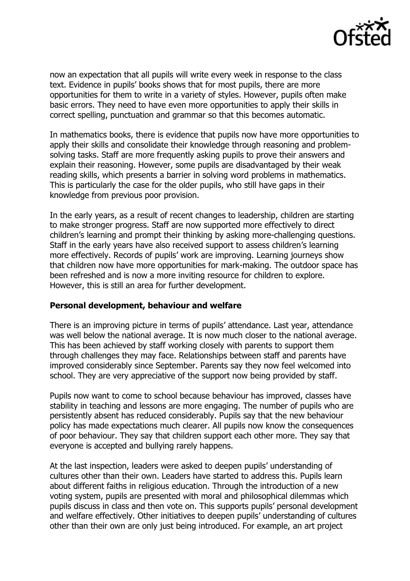

now an expectation that all pupils will write every week in response to the class text. Evidence in pupils' books shows that for most pupils, there are more opportunities for them to write in a variety of styles. However, pupils often make basic errors. They need to have even more opportunities to apply their skills in correct spelling, punctuation and grammar so that this becomes automatic.

In mathematics books, there is evidence that pupils now have more opportunities to apply their skills and consolidate their knowledge through reasoning and problemsolving tasks. Staff are more frequently asking pupils to prove their answers and explain their reasoning. However, some pupils are disadvantaged by their weak reading skills, which presents a barrier in solving word problems in mathematics. This is particularly the case for the older pupils, who still have gaps in their knowledge from previous poor provision.

In the early years, as a result of recent changes to leadership, children are starting to make stronger progress. Staff are now supported more effectively to direct children's learning and prompt their thinking by asking more-challenging questions. Staff in the early years have also received support to assess children's learning more effectively. Records of pupils' work are improving. Learning journeys show that children now have more opportunities for mark-making. The outdoor space has been refreshed and is now a more inviting resource for children to explore. However, this is still an area for further development.

## **Personal development, behaviour and welfare**

There is an improving picture in terms of pupils' attendance. Last year, attendance was well below the national average. It is now much closer to the national average. This has been achieved by staff working closely with parents to support them through challenges they may face. Relationships between staff and parents have improved considerably since September. Parents say they now feel welcomed into school. They are very appreciative of the support now being provided by staff.

Pupils now want to come to school because behaviour has improved, classes have stability in teaching and lessons are more engaging. The number of pupils who are persistently absent has reduced considerably. Pupils say that the new behaviour policy has made expectations much clearer. All pupils now know the consequences of poor behaviour. They say that children support each other more. They say that everyone is accepted and bullying rarely happens.

At the last inspection, leaders were asked to deepen pupils' understanding of cultures other than their own. Leaders have started to address this. Pupils learn about different faiths in religious education. Through the introduction of a new voting system, pupils are presented with moral and philosophical dilemmas which pupils discuss in class and then vote on. This supports pupils' personal development and welfare effectively. Other initiatives to deepen pupils' understanding of cultures other than their own are only just being introduced. For example, an art project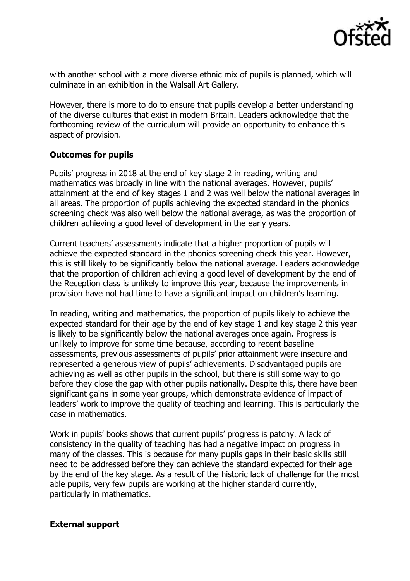![](_page_8_Picture_0.jpeg)

with another school with a more diverse ethnic mix of pupils is planned, which will culminate in an exhibition in the Walsall Art Gallery.

However, there is more to do to ensure that pupils develop a better understanding of the diverse cultures that exist in modern Britain. Leaders acknowledge that the forthcoming review of the curriculum will provide an opportunity to enhance this aspect of provision.

## **Outcomes for pupils**

Pupils' progress in 2018 at the end of key stage 2 in reading, writing and mathematics was broadly in line with the national averages. However, pupils' attainment at the end of key stages 1 and 2 was well below the national averages in all areas. The proportion of pupils achieving the expected standard in the phonics screening check was also well below the national average, as was the proportion of children achieving a good level of development in the early years.

Current teachers' assessments indicate that a higher proportion of pupils will achieve the expected standard in the phonics screening check this year. However, this is still likely to be significantly below the national average. Leaders acknowledge that the proportion of children achieving a good level of development by the end of the Reception class is unlikely to improve this year, because the improvements in provision have not had time to have a significant impact on children's learning.

In reading, writing and mathematics, the proportion of pupils likely to achieve the expected standard for their age by the end of key stage 1 and key stage 2 this year is likely to be significantly below the national averages once again. Progress is unlikely to improve for some time because, according to recent baseline assessments, previous assessments of pupils' prior attainment were insecure and represented a generous view of pupils' achievements. Disadvantaged pupils are achieving as well as other pupils in the school, but there is still some way to go before they close the gap with other pupils nationally. Despite this, there have been significant gains in some year groups, which demonstrate evidence of impact of leaders' work to improve the quality of teaching and learning. This is particularly the case in mathematics.

Work in pupils' books shows that current pupils' progress is patchy. A lack of consistency in the quality of teaching has had a negative impact on progress in many of the classes. This is because for many pupils gaps in their basic skills still need to be addressed before they can achieve the standard expected for their age by the end of the key stage. As a result of the historic lack of challenge for the most able pupils, very few pupils are working at the higher standard currently, particularly in mathematics.

## **External support**